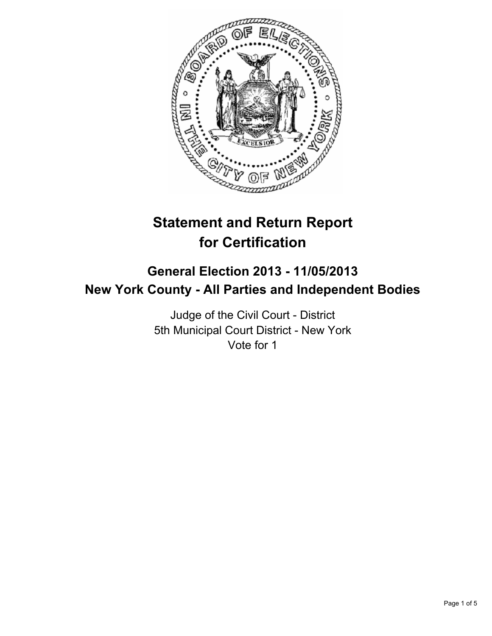

# **Statement and Return Report for Certification**

## **General Election 2013 - 11/05/2013 New York County - All Parties and Independent Bodies**

Judge of the Civil Court - District 5th Municipal Court District - New York Vote for 1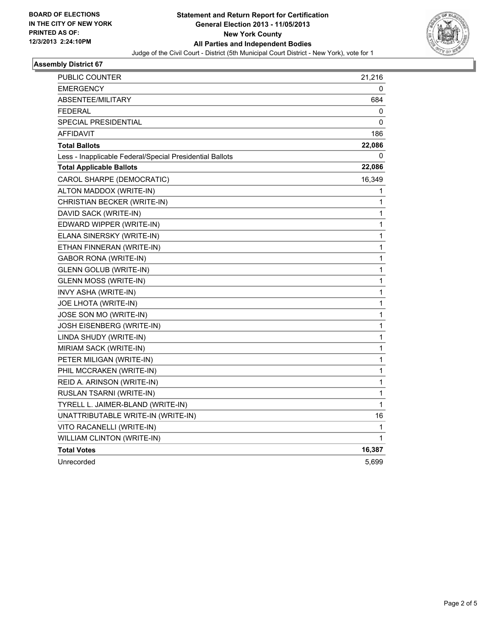

#### **Assembly District 67**

| PUBLIC COUNTER                                           | 21,216       |
|----------------------------------------------------------|--------------|
| EMERGENCY                                                | 0            |
| <b>ABSENTEE/MILITARY</b>                                 | 684          |
| FEDERAL                                                  | 0            |
| SPECIAL PRESIDENTIAL                                     | 0            |
| AFFIDAVIT                                                | 186          |
| <b>Total Ballots</b>                                     | 22,086       |
| Less - Inapplicable Federal/Special Presidential Ballots | 0            |
| <b>Total Applicable Ballots</b>                          | 22,086       |
| CAROL SHARPE (DEMOCRATIC)                                | 16,349       |
| ALTON MADDOX (WRITE-IN)                                  | 1            |
| CHRISTIAN BECKER (WRITE-IN)                              | 1            |
| DAVID SACK (WRITE-IN)                                    | 1            |
| EDWARD WIPPER (WRITE-IN)                                 | $\mathbf{1}$ |
| ELANA SINERSKY (WRITE-IN)                                | 1            |
| ETHAN FINNERAN (WRITE-IN)                                | 1            |
| <b>GABOR RONA (WRITE-IN)</b>                             | 1            |
| <b>GLENN GOLUB (WRITE-IN)</b>                            | 1            |
| <b>GLENN MOSS (WRITE-IN)</b>                             | 1            |
| INVY ASHA (WRITE-IN)                                     | 1            |
| <b>JOE LHOTA (WRITE-IN)</b>                              | 1            |
| JOSE SON MO (WRITE-IN)                                   | 1            |
| JOSH EISENBERG (WRITE-IN)                                | $\mathbf{1}$ |
| LINDA SHUDY (WRITE-IN)                                   | 1            |
| MIRIAM SACK (WRITE-IN)                                   | 1            |
| PETER MILIGAN (WRITE-IN)                                 | 1            |
| PHIL MCCRAKEN (WRITE-IN)                                 | 1            |
| REID A. ARINSON (WRITE-IN)                               | 1            |
| RUSLAN TSARNI (WRITE-IN)                                 | 1            |
| TYRELL L. JAIMER-BLAND (WRITE-IN)                        | 1            |
| UNATTRIBUTABLE WRITE-IN (WRITE-IN)                       | 16           |
| VITO RACANELLI (WRITE-IN)                                | 1            |
| WILLIAM CLINTON (WRITE-IN)                               | 1            |
| <b>Total Votes</b>                                       | 16,387       |
| Unrecorded                                               | 5,699        |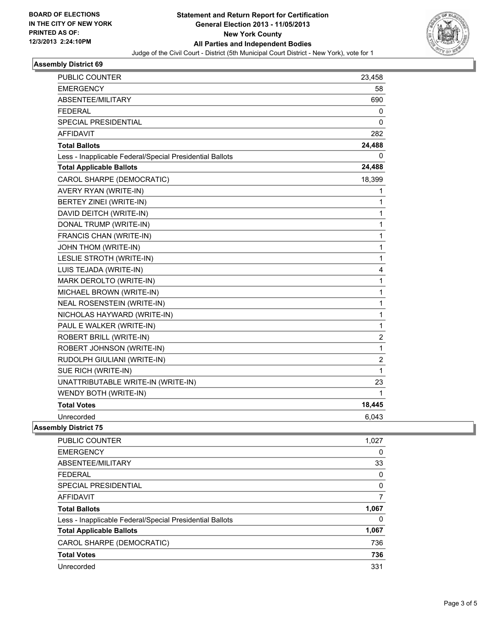

#### **Assembly District 69**

| <b>PUBLIC COUNTER</b>                                    | 23,458                  |
|----------------------------------------------------------|-------------------------|
| EMERGENCY                                                | 58                      |
| ABSENTEE/MILITARY                                        | 690                     |
| <b>FEDERAL</b>                                           | 0                       |
| <b>SPECIAL PRESIDENTIAL</b>                              | 0                       |
| <b>AFFIDAVIT</b>                                         | 282                     |
| <b>Total Ballots</b>                                     | 24,488                  |
| Less - Inapplicable Federal/Special Presidential Ballots | 0                       |
| <b>Total Applicable Ballots</b>                          | 24,488                  |
| CAROL SHARPE (DEMOCRATIC)                                | 18,399                  |
| AVERY RYAN (WRITE-IN)                                    | 1                       |
| BERTEY ZINEI (WRITE-IN)                                  | 1                       |
| DAVID DEITCH (WRITE-IN)                                  | 1                       |
| DONAL TRUMP (WRITE-IN)                                   | 1                       |
| FRANCIS CHAN (WRITE-IN)                                  | 1                       |
| JOHN THOM (WRITE-IN)                                     | 1                       |
| LESLIE STROTH (WRITE-IN)                                 | 1                       |
| LUIS TEJADA (WRITE-IN)                                   | 4                       |
| MARK DEROLTO (WRITE-IN)                                  | 1                       |
| MICHAEL BROWN (WRITE-IN)                                 | 1                       |
| <b>NEAL ROSENSTEIN (WRITE-IN)</b>                        | $\mathbf{1}$            |
| NICHOLAS HAYWARD (WRITE-IN)                              | 1                       |
| PAUL E WALKER (WRITE-IN)                                 | 1                       |
| ROBERT BRILL (WRITE-IN)                                  | $\overline{\mathbf{c}}$ |
| ROBERT JOHNSON (WRITE-IN)                                | $\mathbf{1}$            |
| RUDOLPH GIULIANI (WRITE-IN)                              | 2                       |
| SUE RICH (WRITE-IN)                                      | 1                       |
| UNATTRIBUTABLE WRITE-IN (WRITE-IN)                       | 23                      |
| WENDY BOTH (WRITE-IN)                                    | 1                       |
| <b>Total Votes</b>                                       | 18,445                  |
| Unrecorded                                               | 6,043                   |
|                                                          |                         |

#### **Assembly District 75**

| PUBLIC COUNTER                                           | 1,027 |
|----------------------------------------------------------|-------|
| <b>EMERGENCY</b>                                         | 0     |
| ABSENTEE/MILITARY                                        | 33    |
| <b>FEDERAL</b>                                           | 0     |
| SPECIAL PRESIDENTIAL                                     | 0     |
| AFFIDAVIT                                                | 7     |
| <b>Total Ballots</b>                                     | 1,067 |
| Less - Inapplicable Federal/Special Presidential Ballots | 0     |
| <b>Total Applicable Ballots</b>                          | 1,067 |
|                                                          |       |
| CAROL SHARPE (DEMOCRATIC)                                | 736   |
| <b>Total Votes</b>                                       | 736   |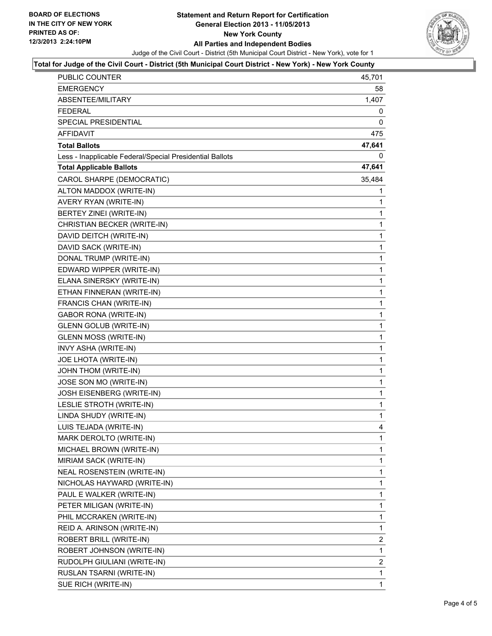

#### **Total for Judge of the Civil Court - District (5th Municipal Court District - New York) - New York County**

| PUBLIC COUNTER                                           | 45,701 |
|----------------------------------------------------------|--------|
| EMERGENCY                                                | 58     |
| ABSENTEE/MILITARY                                        | 1,407  |
| <b>FEDERAL</b>                                           | 0      |
| SPECIAL PRESIDENTIAL                                     | 0      |
| <b>AFFIDAVIT</b>                                         | 475    |
| <b>Total Ballots</b>                                     | 47,641 |
| Less - Inapplicable Federal/Special Presidential Ballots | 0      |
| <b>Total Applicable Ballots</b>                          | 47,641 |
| CAROL SHARPE (DEMOCRATIC)                                | 35,484 |
| ALTON MADDOX (WRITE-IN)                                  | 1      |
| AVERY RYAN (WRITE-IN)                                    | 1      |
| BERTEY ZINEI (WRITE-IN)                                  | 1      |
| CHRISTIAN BECKER (WRITE-IN)                              | 1      |
| DAVID DEITCH (WRITE-IN)                                  | 1      |
| DAVID SACK (WRITE-IN)                                    | 1      |
| DONAL TRUMP (WRITE-IN)                                   | 1      |
| EDWARD WIPPER (WRITE-IN)                                 | 1      |
| ELANA SINERSKY (WRITE-IN)                                | 1      |
| ETHAN FINNERAN (WRITE-IN)                                | 1      |
| FRANCIS CHAN (WRITE-IN)                                  | 1      |
| GABOR RONA (WRITE-IN)                                    | 1      |
| <b>GLENN GOLUB (WRITE-IN)</b>                            | 1      |
| <b>GLENN MOSS (WRITE-IN)</b>                             | 1      |
| INVY ASHA (WRITE-IN)                                     | 1      |
| JOE LHOTA (WRITE-IN)                                     | 1      |
| JOHN THOM (WRITE-IN)                                     | 1      |
| JOSE SON MO (WRITE-IN)                                   | 1      |
| JOSH EISENBERG (WRITE-IN)                                | 1      |
| LESLIE STROTH (WRITE-IN)                                 | 1      |
| LINDA SHUDY (WRITE-IN)                                   | 1      |
| LUIS TEJADA (WRITE-IN)                                   | 4      |
| MARK DEROLTO (WRITE-IN)                                  | 1      |
| MICHAEL BROWN (WRITE-IN)                                 | 1      |
| MIRIAM SACK (WRITE-IN)                                   | 1      |
| NEAL ROSENSTEIN (WRITE-IN)                               | 1      |
| NICHOLAS HAYWARD (WRITE-IN)                              | 1      |
| PAUL E WALKER (WRITE-IN)                                 | 1      |
| PETER MILIGAN (WRITE-IN)                                 | 1      |
| PHIL MCCRAKEN (WRITE-IN)                                 | 1      |
| REID A. ARINSON (WRITE-IN)                               | 1      |
| ROBERT BRILL (WRITE-IN)                                  | 2      |
| ROBERT JOHNSON (WRITE-IN)                                | 1      |
| RUDOLPH GIULIANI (WRITE-IN)                              | 2      |
| RUSLAN TSARNI (WRITE-IN)                                 | 1      |
| SUE RICH (WRITE-IN)                                      | 1      |